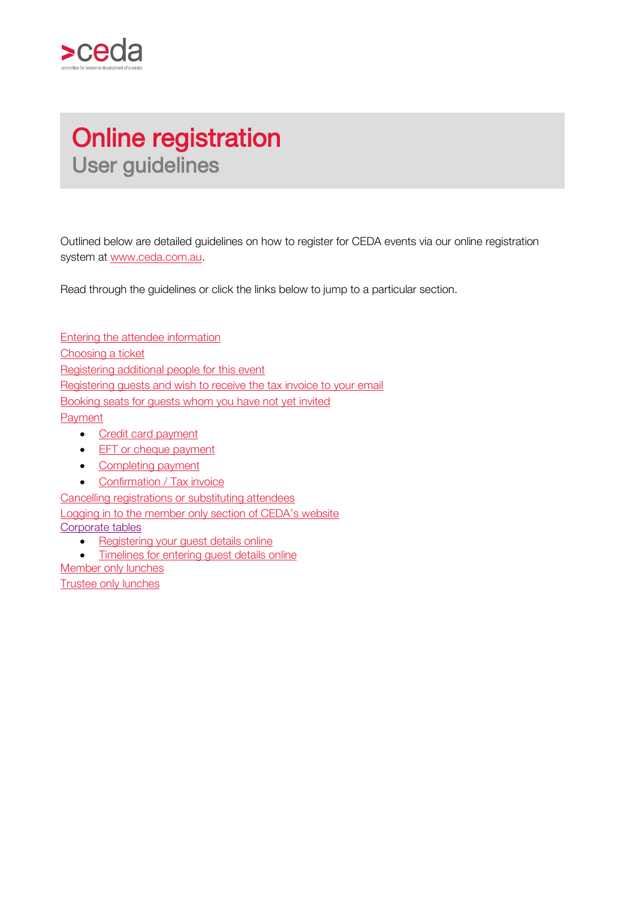

# Online registration User guidelines

Outlined below are detailed guidelines on how to register for CEDA events via our online registration system at [www.ceda.com.au.](http://www.ceda.com.au/)

Read through the guidelines or click the links below to jump to a particular section.

[Entering the attendee information](#page-2-0) [Choosing a ticket](#page-3-0) [Registering additional people for this event](#page-3-1) [Registering guests and wish to receive the tax invoice to your email](#page-4-0) [Booking seats for guests whom you have not yet invited](#page-4-1) [Payment](#page-5-0) • [Credit card payment](#page-5-1) • [EFT or cheque payment](#page-6-0) • [Completing payment](#page-6-1)

• [Confirmation / Tax invoice](#page-7-0)

[Cancelling registrations or substituting attendees](#page-7-1) [Logging in to the member only section of CEDA's website](#page-7-2) [Corporate tables](#page-8-0)

- Registering [your guest details online](#page-8-1)
- [Timelines for entering guest details online](#page-8-2)

Member only lunches

[Trustee only lunches](#page-1-0)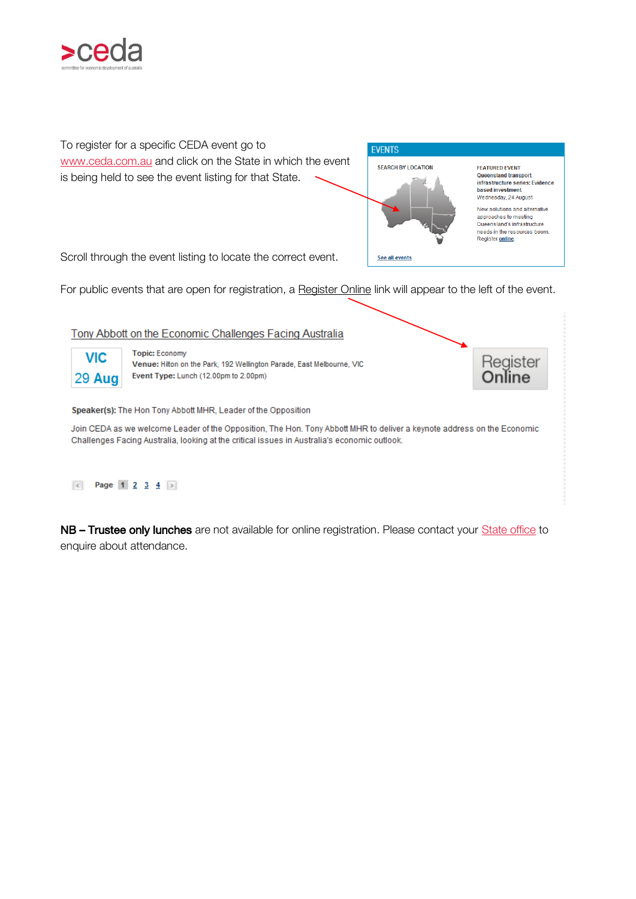



#### Rage 1 2 3 4  $\triangleright$

<span id="page-1-0"></span>NB – Trustee only lunches are not available for online registration. Please contact your [State office](http://www.ceda.com.au/contact) to enquire about attendance.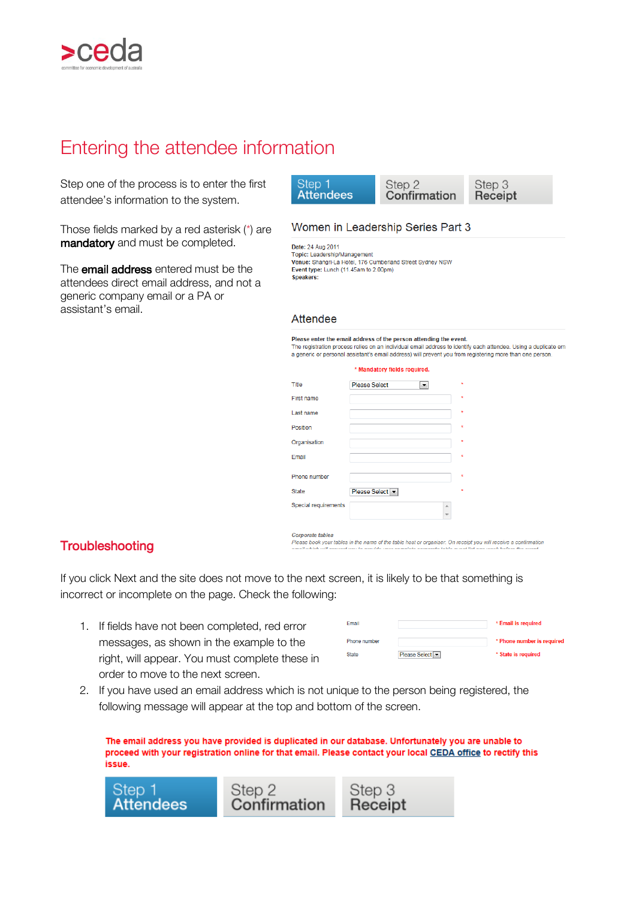

# <span id="page-2-0"></span>Entering the attendee information

Step one of the process is to enter the first attendee's information to the system.

Those fields marked by a red asterisk (\*) are mandatory and must be completed.

The **email address** entered must be the attendees direct email address, and not a generic company email or a PA or assistant's email.

#### Women in Leadership Series Part 3

Date: 24 Aug 2011 Topic: Leadership/Management Venue: Shangri-La Hotel, 176 Cumberland Street Sydney NSW Event type: Lunch (11.45am to 2.00pm) Speakers:

#### Attendee

Please enter the email address of the person attending the event. Final registration process relies on an individual email address to identify each attendee. Using a duplicate email and the registration process relies on an individual email address to identify each attendee. Using a dupl

|                      | * Mandatory fields required.                 |                               |         |
|----------------------|----------------------------------------------|-------------------------------|---------|
| Title                | <b>Please Select</b><br>$\blacktriangledown$ |                               | $\star$ |
| First name           |                                              |                               | $\star$ |
| Last name            |                                              |                               | $\star$ |
| Position             |                                              |                               | $\star$ |
| Organisation         |                                              |                               | $\star$ |
| Email                |                                              |                               | $\star$ |
| Phone number         |                                              |                               | $\star$ |
| <b>State</b>         | Please Select                                |                               | $\star$ |
| Special requirements |                                              | A<br>$\overline{\phantom{a}}$ |         |
| Cornorate tables     |                                              |                               |         |

Please book your tables in the name of the table host or organiser. On receipt you will receive a confirmation

### **Troubleshooting**

If you click Next and the site does not move to the next screen, it is likely to be that something is incorrect or incomplete on the page. Check the following:

1. If fields have not been completed, red error messages, as shown in the example to the right, will appear. You must complete these in order to move to the next screen.

| Email        |               | * Email is required        |
|--------------|---------------|----------------------------|
| Phone number |               | * Phone number is required |
| <b>State</b> | Please Select | * State is required        |

2. If you have used an email address which is not unique to the person being registered, the following message will appear at the top and bottom of the screen.

The email address you have provided is duplicated in our database. Unfortunately you are unable to proceed with your registration online for that email. Please contact your local CEDA office to rectify this issue.

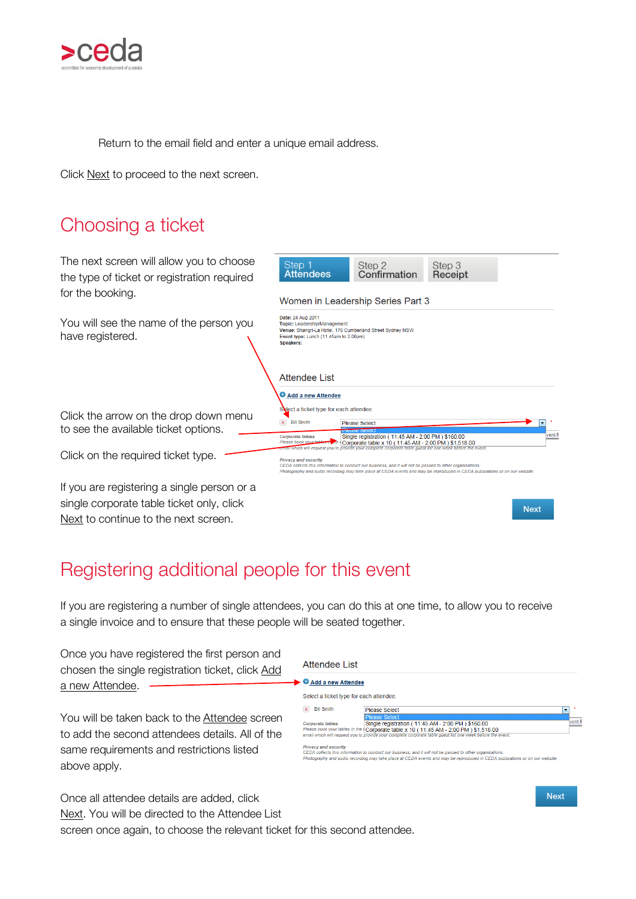

Return to the email field and enter a unique email address.

Click Next to proceed to the next screen.

<span id="page-3-0"></span>

# <span id="page-3-1"></span>Registering additional people for this event

If you are registering a number of single attendees, you can do this at one time, to allow you to receive a single invoice and to ensure that these people will be seated together.

Once you have registered the first person and chosen the single registration ticket, click Add a new Attendee.

| Attendee List                           |                       |  |
|-----------------------------------------|-----------------------|--|
| ► O Add a new Attendee                  |                       |  |
| Select a ticket type for each attendee. |                       |  |
| <b>Bill Smith</b>                       | Please Select         |  |
|                                         | <b>EDIAGOA CALACT</b> |  |

You will be taken back to the **Attendee** screen to add the second attendees details. All of the same requirements and restrictions listed above apply.

**Corporate tables**<br>Please book your tables in the<br>email which will request you to Single registration (11:45 AM - 2:00 PM ) \$160.00<br>Corporate table x 10 (11:45 AM - 2:00 PM ) \$160.00<br>Corporate table x 10 (11:45 AM - 2:00 PM ) \$1,516.00  $int F$ vacy and security n to conduct our busin and it will not be passed to other organisation.<br>DA events and may be reproduced in CEDA p business, and<br>ace at CEDA เ

**Next** 

Once all attendee details are added, click Next. You will be directed to the Attendee List

screen once again, to choose the relevant ticket for this second attendee.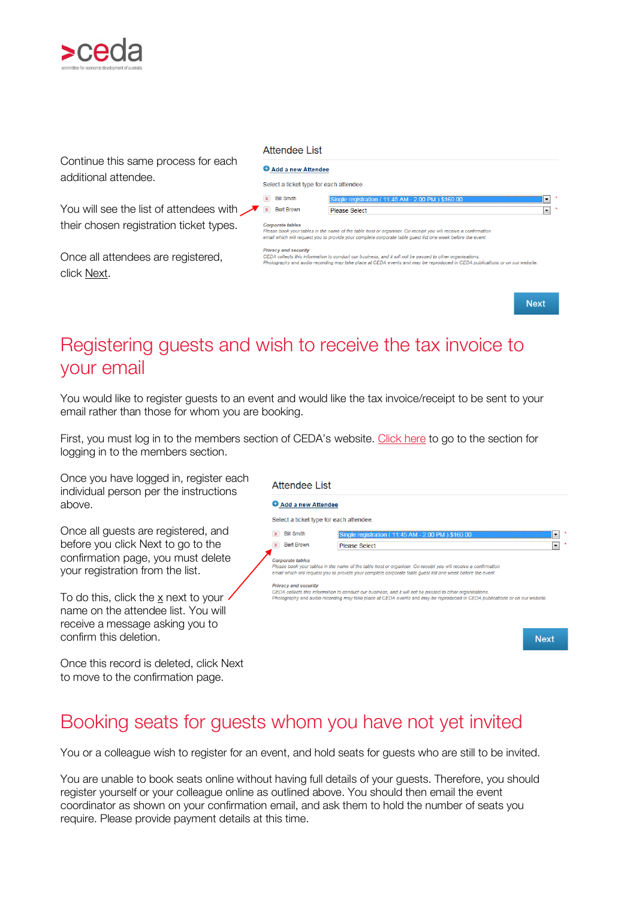

Continue this same process for each additional attendee.

You will see the list of attendees with  $\sqrt{\phantom{a}}$ their chosen registration ticket types.

Once all attendees are registered. click Next.

| Attendee List |  |
|---------------|--|
|               |  |

|  |  | Add a new Attende |  |
|--|--|-------------------|--|

| ₩ Add a new Attendee                                   |                                                                                                                                                                                                                                                                                                                                                                                                                                                                           |         |  |
|--------------------------------------------------------|---------------------------------------------------------------------------------------------------------------------------------------------------------------------------------------------------------------------------------------------------------------------------------------------------------------------------------------------------------------------------------------------------------------------------------------------------------------------------|---------|--|
| Select a ticket type for each attendee.                |                                                                                                                                                                                                                                                                                                                                                                                                                                                                           |         |  |
| <b>Bill Smith</b><br>x                                 | Single registration (11:45 AM - 2:00 PM) \$160.00                                                                                                                                                                                                                                                                                                                                                                                                                         |         |  |
| <b>Bert Brown</b>                                      | Please Select                                                                                                                                                                                                                                                                                                                                                                                                                                                             | $\cdot$ |  |
| <b>Corporate tables</b><br><b>Privacy and security</b> | Please book your tables in the name of the table host or organiser. On receipt you will receive a confirmation<br>email which will request you to provide your complete corporate table quest list one week before the event.<br>CEDA collects this information to conduct our business, and it will not be passed to other organisations.<br>Photography and audio recording may take place at CEDA events and may be reproduced in CEDA publications or on our website. |         |  |

**Next** 

# <span id="page-4-0"></span>Registering guests and wish to receive the tax invoice to your email

You would like to register guests to an event and would like the tax invoice/receipt to be sent to your email rather than those for whom you are booking.

First, you must log in to the members section of CEDA's website. [Click here](#page-7-3) to go to the section for logging in to the members section.

Once you have logged in, register each individual person per the instructions above.

Once all guests are registered, and before you click Next to go to the confirmation page, you must delete your registration from the list.

To do this, click the x next to your name on the attendee list. You will receive a message asking you to confirm this deletion.

Once this record is deleted, click Next to move to the confirmation page.

#### **Attendee List**

| Add a new Attendee                                     |                                                                                                                                                                                                                                                                                                                                                                                                                                                                           |
|--------------------------------------------------------|---------------------------------------------------------------------------------------------------------------------------------------------------------------------------------------------------------------------------------------------------------------------------------------------------------------------------------------------------------------------------------------------------------------------------------------------------------------------------|
|                                                        | Select a ticket type for each attendee.                                                                                                                                                                                                                                                                                                                                                                                                                                   |
| <b>Bill Smith</b>                                      | Single registration (11:45 AM - 2:00 PM) \$160.00<br>▼                                                                                                                                                                                                                                                                                                                                                                                                                    |
| <b>Bert Brown</b>                                      | <b>Please Select</b><br>$\overline{\phantom{a}}$                                                                                                                                                                                                                                                                                                                                                                                                                          |
| <b>Corporate tables</b><br><b>Privacy and security</b> | Please book your tables in the name of the table host or organiser. On receipt you will receive a confirmation<br>email which will request you to provide your complete corporate table quest list one week before the event.<br>CEDA collects this information to conduct our business, and it will not be passed to other organisations.<br>Photography and audio recording may take place at CEDA events and may be reproduced in CEDA publications or on our website. |
|                                                        |                                                                                                                                                                                                                                                                                                                                                                                                                                                                           |
|                                                        | <b>Nloyd</b>                                                                                                                                                                                                                                                                                                                                                                                                                                                              |

# <span id="page-4-1"></span>Booking seats for guests whom you have not yet invited

You or a colleague wish to register for an event, and hold seats for guests who are still to be invited.

You are unable to book seats online without having full details of your guests. Therefore, you should register yourself or your colleague online as outlined above. You should then email the event coordinator as shown on your confirmation email, and ask them to hold the number of seats you require. Please provide payment details at this time.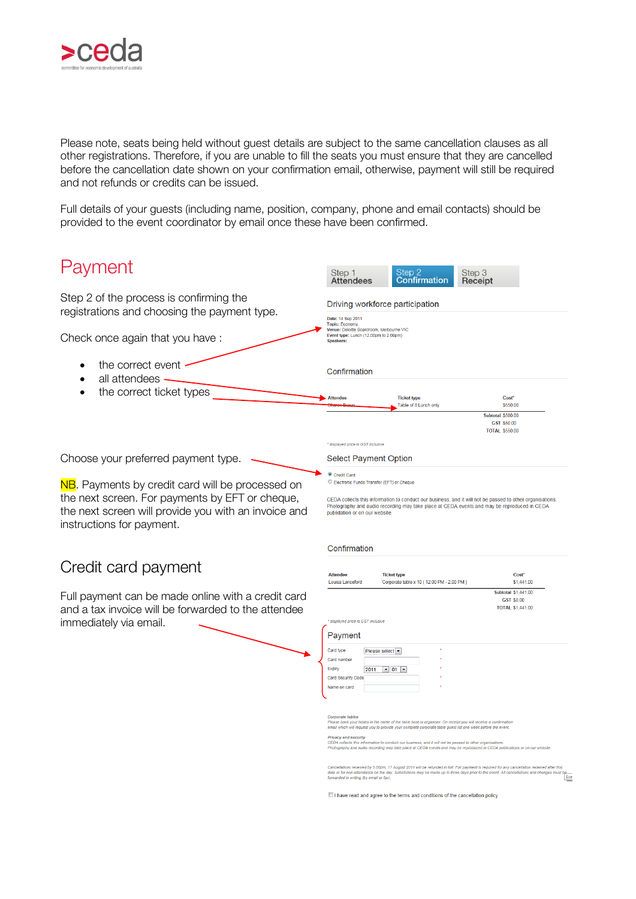

Please note, seats being held without guest details are subject to the same cancellation clauses as all other registrations. Therefore, if you are unable to fill the seats you must ensure that they are cancelled before the cancellation date shown on your confirmation email, otherwise, payment will still be required and not refunds or credits can be issued.

Full details of your guests (including name, position, company, phone and email contacts) should be provided to the event coordinator by email once these have been confirmed.

<span id="page-5-1"></span><span id="page-5-0"></span>

| Payment                                                                                                                                                                                  | Step 1<br>Attendees                                                                            |                         | Step 2<br>Confirmation                                                                                                                                                                                                                                                                                                                                                                                                                                                    | Step 3<br>Receipt |                                                                                                                                                                                                                               |
|------------------------------------------------------------------------------------------------------------------------------------------------------------------------------------------|------------------------------------------------------------------------------------------------|-------------------------|---------------------------------------------------------------------------------------------------------------------------------------------------------------------------------------------------------------------------------------------------------------------------------------------------------------------------------------------------------------------------------------------------------------------------------------------------------------------------|-------------------|-------------------------------------------------------------------------------------------------------------------------------------------------------------------------------------------------------------------------------|
| Step 2 of the process is confirming the<br>registrations and choosing the payment type.                                                                                                  | Date: 14 Sep 2011<br><b>Topic: Economy</b>                                                     |                         | Driving workforce participation                                                                                                                                                                                                                                                                                                                                                                                                                                           |                   |                                                                                                                                                                                                                               |
| Check once again that you have:                                                                                                                                                          | Venue: Deloitte Boardroom, Melbourne VIC<br>Event type: Lunch (12.00pm to 2.00pm)<br>Speakers: |                         |                                                                                                                                                                                                                                                                                                                                                                                                                                                                           |                   |                                                                                                                                                                                                                               |
| the correct event<br>all attendees                                                                                                                                                       | Confirmation                                                                                   |                         |                                                                                                                                                                                                                                                                                                                                                                                                                                                                           |                   |                                                                                                                                                                                                                               |
| the correct ticket types                                                                                                                                                                 | <b>Attendee</b>                                                                                |                         | <b>Ticket type</b><br>Table of 8 Lunch only                                                                                                                                                                                                                                                                                                                                                                                                                               |                   | Cost*<br>\$550.00<br><b>Subtotal \$500.00</b>                                                                                                                                                                                 |
|                                                                                                                                                                                          | * displayed price is GST inclusive                                                             |                         |                                                                                                                                                                                                                                                                                                                                                                                                                                                                           |                   | GST \$50.00<br><b>TOTAL \$550.00</b>                                                                                                                                                                                          |
| Choose your preferred payment type.                                                                                                                                                      | <b>Select Payment Option</b>                                                                   |                         |                                                                                                                                                                                                                                                                                                                                                                                                                                                                           |                   |                                                                                                                                                                                                                               |
| NB. Payments by credit card will be processed on<br>the next screen. For payments by EFT or cheque,<br>the next screen will provide you with an invoice and<br>instructions for payment. | Credit Card<br>Electronic Funds Transfer (FFT) or Cheque<br>publidation or on our website.     |                         | CEDA collects this information to conduct our business, and it will not be passed to other organisations.<br>Photography and audio recording may take place at CEDA events and may be reproduced in CEDA                                                                                                                                                                                                                                                                  |                   |                                                                                                                                                                                                                               |
| Credit card payment                                                                                                                                                                      | Confirmation                                                                                   |                         |                                                                                                                                                                                                                                                                                                                                                                                                                                                                           |                   |                                                                                                                                                                                                                               |
|                                                                                                                                                                                          | <b>Attendee</b><br>Louisa Lanceford                                                            |                         | <b>Ticket type</b><br>Corporate table x 10 (12:00 PM - 2:00 PM)                                                                                                                                                                                                                                                                                                                                                                                                           |                   | Cost*<br>\$1,441.00                                                                                                                                                                                                           |
| Full payment can be made online with a credit card<br>and a tax invoice will be forwarded to the attendee<br>immediately via email.                                                      | * displayed price is GST inclusive                                                             |                         |                                                                                                                                                                                                                                                                                                                                                                                                                                                                           |                   | <b>Subtotal \$1,441.00</b><br>GST \$0.00<br><b>TOTAL \$1,441.00</b>                                                                                                                                                           |
|                                                                                                                                                                                          | Payment                                                                                        |                         |                                                                                                                                                                                                                                                                                                                                                                                                                                                                           |                   |                                                                                                                                                                                                                               |
|                                                                                                                                                                                          | Card type<br>Card number<br>Expiry<br>Card Security Code<br>Name on card                       | Please select -<br>2011 | $\bullet$ 01 $\bullet$                                                                                                                                                                                                                                                                                                                                                                                                                                                    |                   |                                                                                                                                                                                                                               |
|                                                                                                                                                                                          |                                                                                                |                         |                                                                                                                                                                                                                                                                                                                                                                                                                                                                           |                   |                                                                                                                                                                                                                               |
|                                                                                                                                                                                          | <b>Corporate tables</b><br><b>Privacy and security</b>                                         |                         | Please book your tables in the name of the table host or organiser. On receipt you will receive a confirmation<br>email which will request you to provide your complete corporate table guest list one week before the event.<br>CEDA collects this information to conduct our business, and it will not be passed to other organisations.<br>Photography and audio recording may take place at CEDA events and may be reproduced in CEDA publications or on our website. |                   |                                                                                                                                                                                                                               |
|                                                                                                                                                                                          | forwarded in writing (by email or fax).                                                        |                         | Cancellations received by 5.00pm, 17 August 2011 will be refunded in full. Full payment is required for any cancellation received after this                                                                                                                                                                                                                                                                                                                              |                   | Cancellations received by 5.00pm, 17 August 2011 will be retunded in tui. רום payment is required in the payment of the care the care that be a state of the care of the care in the care in the care in the care in the care |
|                                                                                                                                                                                          |                                                                                                |                         | I have read and agree to the terms and conditions of the cancellation policy                                                                                                                                                                                                                                                                                                                                                                                              |                   |                                                                                                                                                                                                                               |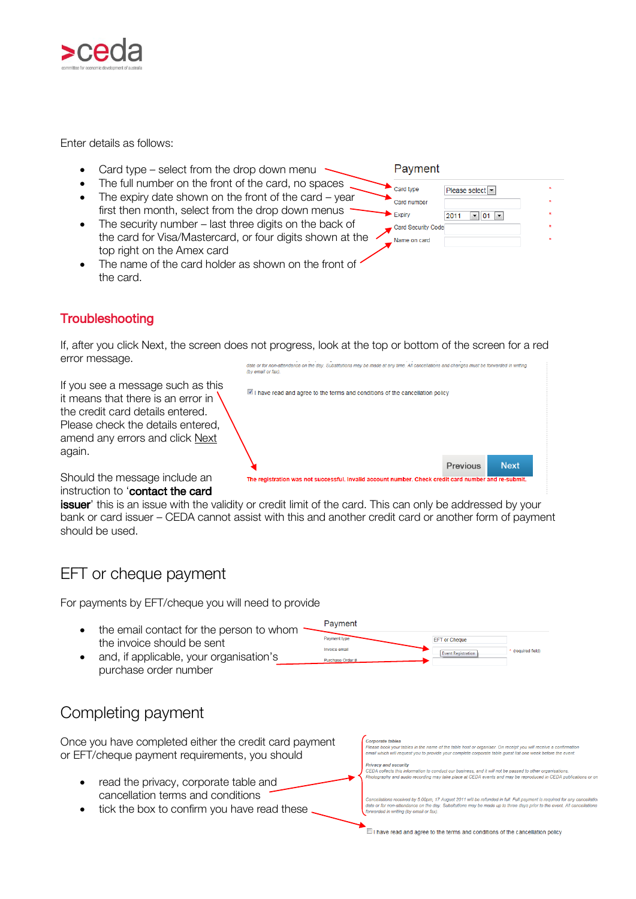

Enter details as follows:

- Card type select from the drop down menu
- The full number on the front of the card, no spaces
- The expiry date shown on the front of the card year first then month, select from the drop down menus
- The security number last three digits on the back of the card for Visa/Mastercard, or four digits shown at the top right on the Amex card
- The name of the card holder as shown on the front of " the card.

#### Payment

| Card type          |      | Please select                      |  |
|--------------------|------|------------------------------------|--|
| Card number        |      |                                    |  |
| Expiry             | 2011 | $-101$<br>$\overline{\phantom{a}}$ |  |
| Card Security Code |      |                                    |  |
| Name on card       |      |                                    |  |

### **Troubleshooting**

If, after you click Next, the screen does not progress, look at the top or bottom of the screen for a red error message. .<br>Itendance on the day. Substitutions may be made at any time. All cancellations and changes must be forwarded in writing

If you see a message such as this it means that there is an error in the credit card details entered. Please check the details entered, amend any errors and click Next again.



Should the message include an instruction to '**contact the card** 

issuer' this is an issue with the validity or credit limit of the card. This can only be addressed by your bank or card issuer – CEDA cannot assist with this and another credit card or another form of payment should be used.

### <span id="page-6-0"></span>EFT or cheque payment

For payments by EFT/cheque you will need to provide

- Payment • the email contact for the person to whom Payment ty EFT or Cheque the invoice should be sent Invoice email (required field) **Event Registration**  and, if applicable, your organisation's Purchase Order
- purchase order number

### <span id="page-6-1"></span>Completing payment

Once you have completed either the credit card payment Corporate tables .<br>Please book your tables in the name of the table host or organiser. On receipt you will receive a confirmatic<br>email which will request you to provide your complete corporate table guest list one week before the event. or EFT/cheque payment requirements, you should acy and security r rreacy<br>CEDA collects this information to conduct our business, and it will not be passed to other organisations.<br>Photography and audio recording may take place at CEDA events and may be reproduced in CEDA publications or read the privacy, corporate table and cancellation terms and conditions Cancellations received by 5.00pm, 17 August 2011 will be refunded in full. Full payment is required for any cancellation<br>date or for non-attendance on the day. Substitutions may be made un to three days prior to the event. tick the box to confirm you have read theseled in writing (by email or fax).

 $\Box$  I have read and agree to the terms and conditions of the cancellation policy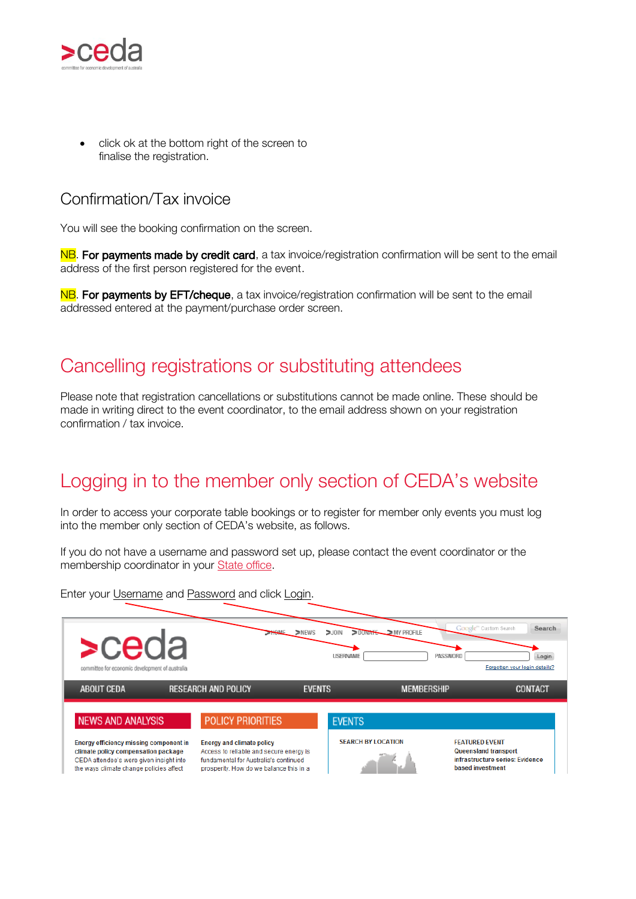

 click ok at the bottom right of the screen to finalise the registration.

### <span id="page-7-0"></span>Confirmation/Tax invoice

You will see the booking confirmation on the screen.

NB. For payments made by credit card, a tax invoice/registration confirmation will be sent to the email address of the first person registered for the event.

NB. For payments by EFT/cheque, a tax invoice/registration confirmation will be sent to the email addressed entered at the payment/purchase order screen.

## <span id="page-7-1"></span>Cancelling registrations or substituting attendees

Please note that registration cancellations or substitutions cannot be made online. These should be made in writing direct to the event coordinator, to the email address shown on your registration confirmation / tax invoice.

# <span id="page-7-2"></span>Logging in to the member only section of CEDA's website

<span id="page-7-3"></span>In order to access your corporate table bookings or to register for member only events you must log into the member only section of CEDA's website, as follows.

If you do not have a username and password set up, please contact the event coordinator or the membership coordinator in your [State office.](http://www.ceda.com.au/contact)

Enter your Username and Password and click Login.

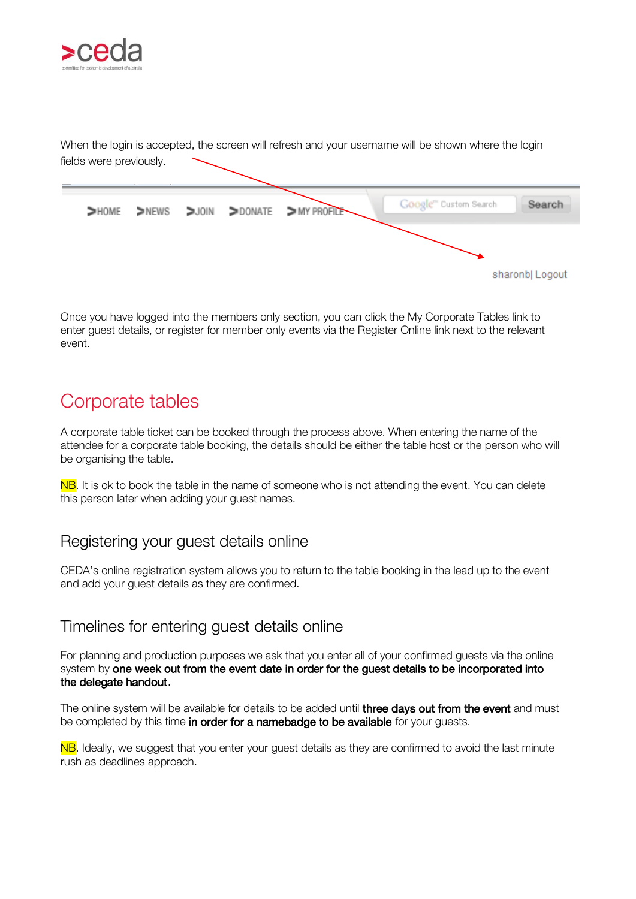

When the login is accepted, the screen will refresh and your username will be shown where the login fields were previously.



Once you have logged into the members only section, you can click the My Corporate Tables link to enter guest details, or register for member only events via the Register Online link next to the relevant event.

## <span id="page-8-0"></span>Corporate tables

A corporate table ticket can be booked through the process above. When entering the name of the attendee for a corporate table booking, the details should be either the table host or the person who will be organising the table.

NB. It is ok to book the table in the name of someone who is not attending the event. You can delete this person later when adding your guest names.

### <span id="page-8-1"></span>Registering your guest details online

CEDA's online registration system allows you to return to the table booking in the lead up to the event and add your guest details as they are confirmed.

### <span id="page-8-2"></span>Timelines for entering guest details online

For planning and production purposes we ask that you enter all of your confirmed guests via the online system by one week out from the event date in order for the guest details to be incorporated into the delegate handout.

The online system will be available for details to be added until **three days out from the event** and must be completed by this time in order for a namebadge to be available for your guests.

NB. Ideally, we suggest that you enter your guest details as they are confirmed to avoid the last minute rush as deadlines approach.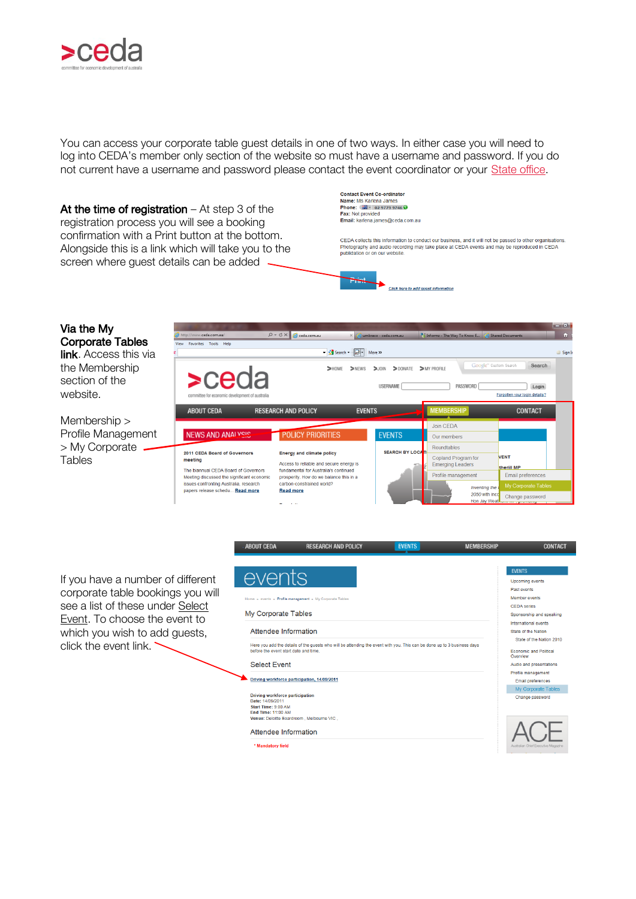

You can access your corporate table guest details in one of two ways. In either case you will need to log into CEDA's member only section of the website so must have a username and password. If you do not current have a username and password please contact the event coordinator or your [State office.](http://www.ceda.com.au/contact)

Contact Event Co-ordinator<br>Name: Ms Karlena James<br>Phone: (29 - 02 9779 9746 O At the time of registration  $-$  At step 3 of the Fax: Not provided registration process you will see a booking Email: karlena.iames@ceda.com.au confirmation with a Print button at the bottom. CEDA collects this information to conduct our business, and it will not be passed to other organisations. Alongside this is a link which will take you to the Photography and audio recording may take place at CEDA events and may be reproduced in CEDA publidation or on our website screen where guest details can be added **THAL** Click here to add quest information

#### Via the My Corporate Tables

link. Access this via the Membership section of the website.

Membership > Profile Management > My Corporate **Tables** 



If you have a number of different corporate table bookings you will see a list of these under Select Event. To choose the event to which you wish to add guests, click the event link.